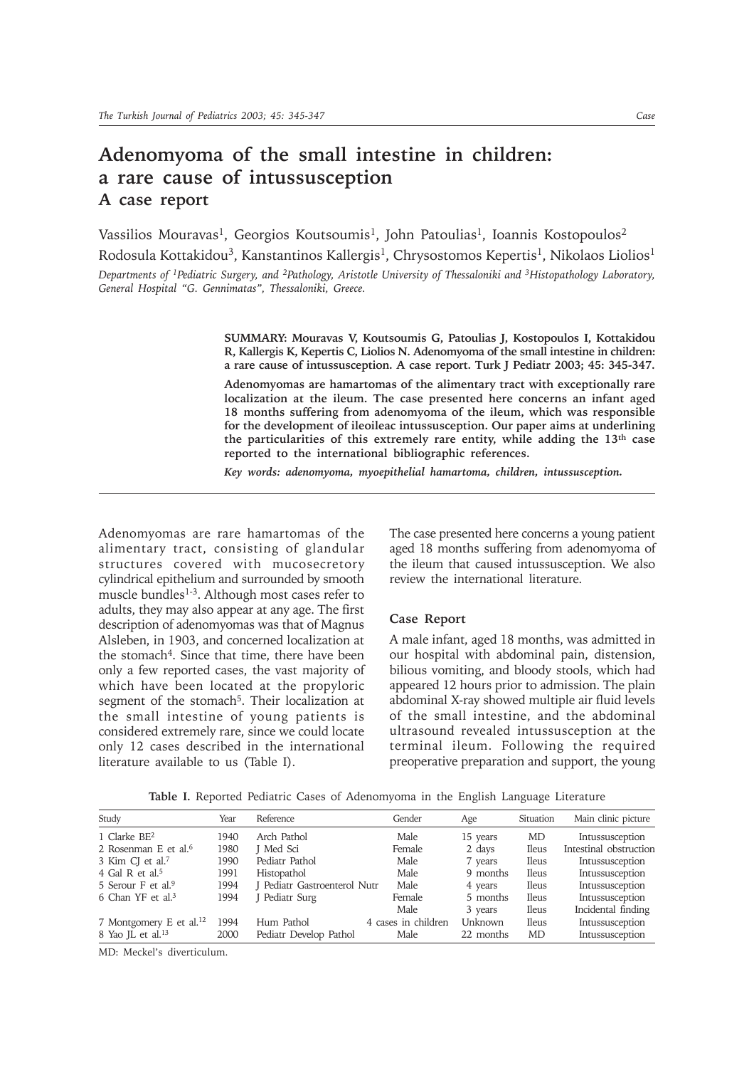# **Adenomyoma of the small intestine in children: a rare cause of intussusception A case report**

Vassilios Mouravas<sup>1</sup>, Georgios Koutsoumis<sup>1</sup>, John Patoulias<sup>1</sup>, Ioannis Kostopoulos<sup>2</sup> Rodosula Kottakidou<sup>3</sup>, Kanstantinos Kallergis<sup>1</sup>, Chrysostomos Kepertis<sup>1</sup>, Nikolaos Liolios<sup>1</sup> *Departments of 1Pediatric Surgery, and 2Pathology, Aristotle University of Thessaloniki and 3Histopathology Laboratory, General Hospital "G. Gennimatas", Thessaloniki, Greece.*

> **SUMMARY: Mouravas V, Koutsoumis G, Patoulias J, Kostopoulos I, Kottakidou R, Kallergis K, Kepertis C, Liolios N. Adenomyoma of the small intestine in children: a rare cause of intussusception. A case report. Turk J Pediatr 2003; 45: 345-347.**

> **Adenomyomas are hamartomas of the alimentary tract with exceptionally rare localization at the ileum. The case presented here concerns an infant aged 18 months suffering from adenomyoma of the ileum, which was responsible for the development of ileoileac intussusception. Our paper aims at underlining the particularities of this extremely rare entity, while adding the 13th case reported to the international bibliographic references.**

*Key words: adenomyoma, myoepithelial hamartoma, children, intussusception.*

Adenomyomas are rare hamartomas of the alimentary tract, consisting of glandular structures covered with mucosecretory cylindrical epithelium and surrounded by smooth muscle bundles<sup>1-3</sup>. Although most cases refer to adults, they may also appear at any age. The first description of adenomyomas was that of Magnus Alsleben, in 1903, and concerned localization at the stomach<sup>4</sup>. Since that time, there have been only a few reported cases, the vast majority of which have been located at the propyloric segment of the stomach<sup>5</sup>. Their localization at the small intestine of young patients is considered extremely rare, since we could locate only 12 cases described in the international literature available to us (Table I).

The case presented here concerns a young patient aged 18 months suffering from adenomyoma of the ileum that caused intussusception. We also review the international literature.

## **Case Report**

A male infant, aged 18 months, was admitted in our hospital with abdominal pain, distension, bilious vomiting, and bloody stools, which had appeared 12 hours prior to admission. The plain abdominal X-ray showed multiple air fluid levels of the small intestine, and the abdominal ultrasound revealed intussusception at the terminal ileum. Following the required preoperative preparation and support, the young

**Table I.** Reported Pediatric Cases of Adenomyoma in the English Language Literature

| Study                               | Year | Reference                    | Gender              | Age       | Situation    | Main clinic picture    |
|-------------------------------------|------|------------------------------|---------------------|-----------|--------------|------------------------|
| 1 Clarke BE <sup>2</sup>            | 1940 | Arch Pathol                  | Male                | 15 years  | MD           | Intussusception        |
| 2 Rosenman E et al. <sup>6</sup>    | 1980 | J Med Sci                    | Female              | 2 days    | <b>Ileus</b> | Intestinal obstruction |
| 3 Kim CI et al. <sup>7</sup>        | 1990 | Pediatr Pathol               | Male                | 7 years   | <b>Ileus</b> | Intussusception        |
| 4 Gal R et al. <sup>5</sup>         | 1991 | Histopathol                  | Male                | 9 months  | <b>Ileus</b> | Intussusception        |
| 5 Serour F et al. <sup>9</sup>      | 1994 | I Pediatr Gastroenterol Nutr | Male                | 4 years   | <b>Ileus</b> | Intussusception        |
| 6 Chan YF et al. <sup>3</sup>       | 1994 | J Pediatr Surg               | Female              | 5 months  | <b>Ileus</b> | Intussusception        |
|                                     |      |                              | Male                | 3 years   | <b>Ileus</b> | Incidental finding     |
| 7 Montgomery E et al. <sup>12</sup> | 1994 | Hum Pathol                   | 4 cases in children | Unknown   | <b>Ileus</b> | Intussusception        |
| 8 Yao JL et al. <sup>13</sup>       | 2000 | Pediatr Develop Pathol       | Male                | 22 months | <b>MD</b>    | Intussusception        |

MD: Meckel's diverticulum.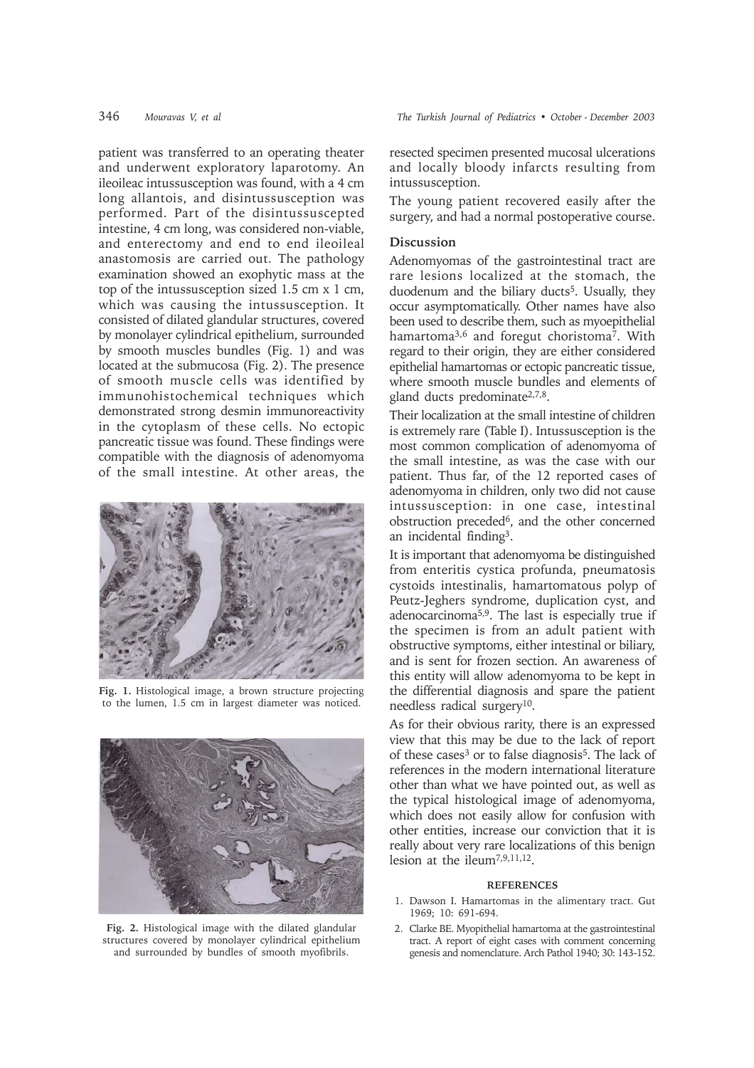patient was transferred to an operating theater and underwent exploratory laparotomy. An ileoileac intussusception was found, with a 4 cm long allantois, and disintussusception was performed. Part of the disintussuscepted intestine, 4 cm long, was considered non-viable, and enterectomy and end to end ileoileal anastomosis are carried out. The pathology examination showed an exophytic mass at the top of the intussusception sized 1.5 cm x 1 cm, which was causing the intussusception. It consisted of dilated glandular structures, covered by monolayer cylindrical epithelium, surrounded by smooth muscles bundles (Fig. 1) and was located at the submucosa (Fig. 2). The presence of smooth muscle cells was identified by immunohistochemical techniques which demonstrated strong desmin immunoreactivity in the cytoplasm of these cells. No ectopic pancreatic tissue was found. These findings were compatible with the diagnosis of adenomyoma of the small intestine. At other areas, the



**Fig. 1.** Histological image, a brown structure projecting to the lumen, 1.5 cm in largest diameter was noticed.



**Fig. 2.** Histological image with the dilated glandular structures covered by monolayer cylindrical epithelium and surrounded by bundles of smooth myofibrils.

resected specimen presented mucosal ulcerations and locally bloody infarcts resulting from intussusception.

The young patient recovered easily after the surgery, and had a normal postoperative course.

# **Discussion**

Adenomyomas of the gastrointestinal tract are rare lesions localized at the stomach, the duodenum and the biliary ducts<sup>5</sup>. Usually, they occur asymptomatically. Other names have also been used to describe them, such as myoepithelial hamartoma<sup>3,6</sup> and foregut choristoma<sup>7</sup>. With regard to their origin, they are either considered epithelial hamartomas or ectopic pancreatic tissue, where smooth muscle bundles and elements of gland ducts predominate<sup>2,7,8</sup>.

Their localization at the small intestine of children is extremely rare (Table I). Intussusception is the most common complication of adenomyoma of the small intestine, as was the case with our patient. Thus far, of the 12 reported cases of adenomyoma in children, only two did not cause intussusception: in one case, intestinal obstruction preceded6, and the other concerned an incidental finding3.

It is important that adenomyoma be distinguished from enteritis cystica profunda, pneumatosis cystoids intestinalis, hamartomatous polyp of Peutz-Jeghers syndrome, duplication cyst, and adenocarcinoma5,9. The last is especially true if the specimen is from an adult patient with obstructive symptoms, either intestinal or biliary, and is sent for frozen section. An awareness of this entity will allow adenomyoma to be kept in the differential diagnosis and spare the patient needless radical surgery10.

As for their obvious rarity, there is an expressed view that this may be due to the lack of report of these cases<sup>3</sup> or to false diagnosis<sup>5</sup>. The lack of references in the modern international literature other than what we have pointed out, as well as the typical histological image of adenomyoma, which does not easily allow for confusion with other entities, increase our conviction that it is really about very rare localizations of this benign lesion at the ileum7,9,11,12.

### **REFERENCES**

- 1. Dawson I. Hamartomas in the alimentary tract. Gut 1969; 10: 691-694.
- 2. Clarke BE. Myopithelial hamartoma at the gastrointestinal tract. A report of eight cases with comment concerning genesis and nomenclature. Arch Pathol 1940; 30: 143-152.